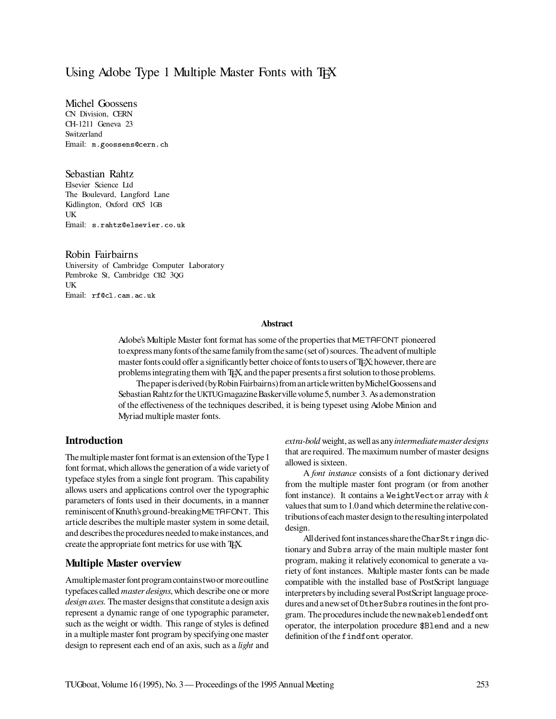# Using Adobe Type 1 Multiple Master Fonts with T<sub>EX</sub>

Michel Goossens CN Division, CERN CH-1211 Geneva 23 **Switzerland** Email: m.goossens@cern.ch

Sebastian Rahtz

Elsevier Science Ltd The Boulevard, Langford Lane Kidlington, Oxford OX5 1GB UK Email: s.rahtz@elsevier.co.uk

Robin Fairbairns University of Cambridge Computer Laboratory Pembroke St, Cambridge CB2 3QG UK Email: rf@cl.cam.ac.uk

#### **Abstract**

Adobe's Multiple Master font format has some of the properties that METAFONT pioneered to express many fonts of the same family from the same (set of) sources. The advent of multiple master fonts could offer a significantly better choice of fonts to users of TFX; however, there are problemsintegratingthem with TEX, and the paper presents a first solution tothose problems.

Thepaperisderived (byRobin Fairbairns) froman articlewritten byMichelGoossensand Sebastian Rahtz for the UKTUG magazine Basker ville volume 5, number 3. As a demonstration of the effectiveness of the techniques described, it is being typeset using Adobe Minion and Myriad multiple master fonts.

## **Introduction**

The multiple master font format is an extension of the Type 1 font format, which allows the generation of a wide varietyof typeface styles from a single font program. This capability allows users and applications control over the typographic parameters of fonts used in their documents, in a manner reminiscent ofKnuth'sground-breakingMETAFONT. This article describes the multiple master system in some detail, and describes the procedures needed to make instances, and create the appropriate font metrics for use with TEX.

## **Multiple Master overview**

Amultiplemaster font programcontainstwoor moreoutline typefaces called *master designs*, which describe one or more *design axes*. Themaster designsthat constitute a design axis represent a dynamic range of one typographic parameter, such as the weight or width. This range of styles is defined in a multiple master font program by specifying one master design to represent each end of an axis, such as a *light* and *extra-bold* weight, as well as any*intermediatemasterdesigns* that are required. The maximum number of master designs allowed is sixteen.

A *font instance* consists of a font dictionary derived from the multiple master font program (or from another font instance). It contains a WeightVector array with *k* values that sum to 1.0 and which determine the relative contributions ofeach master design tothe resultinginterpolated design.

Allderived font instances sharethe CharStrings dictionary and Subrs array of the main multiple master font program, making it relatively economical to generate a variety of font instances. Multiple master fonts can be made compatible with the installed base of PostScript language interpreters byincluding several PostScript language procedures and a new set of 0therSubrs routines in the font program. The proceduresincludethe newmakeblendedfont operator, the interpolation procedure \$Blend and a new definition of the findfont operator.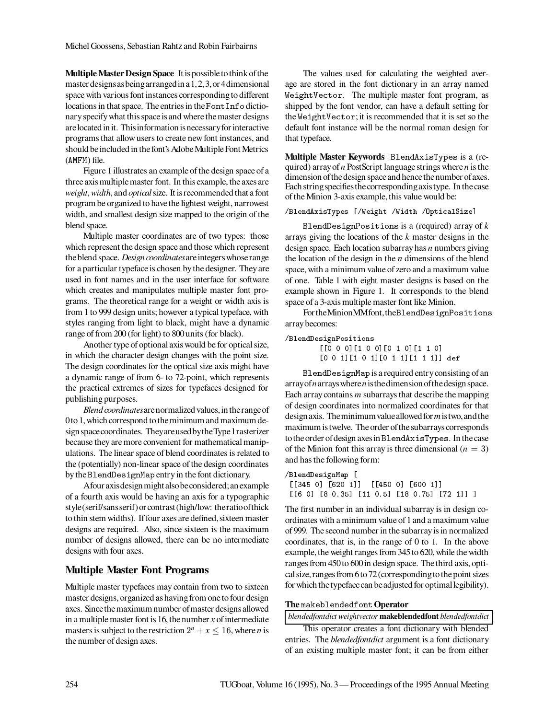**Multiple Master Design Space** It is possible to think of the master designsasbeingarrangedin a1,2,3,or 4dimensional space with various font instances correspondingto different locations in that space. The entries in the FontInfo dictionary specify what this space is and where the master designs are located in it. This information is necessary for interactive programs that allow users to create new font instances, and should be included in the font's Adobe Multiple Font Metrics (AMFM) file.

Figure 1illustrates an example of the design space of a three axismultiplemaster font. In this example, the axes are *weight*,*width*, and *optical*size. It is recommended that a font program be organized to have the lightest weight, narrowest width, and smallest design size mapped to the origin of the blend space.

Multiple master coordinates are of two types: those which represent the design space and those which represent theblend space. *Design coordinates*areintegerswhose range for a particular typeface is chosen by the designer. They are used in font names and in the user interface for software which creates and manipulates multiple master font programs. The theoretical range for a weight or width axis is from 1 to 999 design units; however a typical typeface, with styles ranging from light to black, might have a dynamic range of from 200 (for light) to 800 units (for black).

Another type of optional axis would be for optical size, in which the character design changes with the point size. The design coordinates for the optical size axis might have a dynamic range of from 6- to 72-point, which represents the practical extremes of sizes for typefaces designed for publishing purposes.

*Blend coordinates* are normalized values, in the range of 0to 1, which correspond totheminimum and maximum design space coordinates. They are used by the Type 1 rasterizer because they are more convenient for mathematical manipulations. The linear space of blend coordinates is related to the (potentially) non-linear space of the design coordinates bythe BlendDesignMap entryin the font dictionary.

Afour axisdesignmight alsobeconsidered;an example of a fourth axis would be having an axis for a typographic style(serif/sansserif)or contrast (high/low: theratioofthick to thin stem widths). If four axes are defined, sixteen master designs are required. Also, since sixteen is the maximum number of designs allowed, there can be no intermediate designs with four axes.

# **Multiple Master Font Programs**

Multiple master typefaces may contain from two to sixteen master designs, organized as having from oneto four design axes. Sincethemaximum number ofmaster designsallowed in a multiple master font is 16, the number  $x$  of intermediate masters is subject to the restriction  $2^n + x \le 16$ , where *n* is the number of design axes.

The values used for calculating the weighted average are stored in the font dictionary in an array named WeightVector. The multiple master font program, as shipped by the font vendor, can have a default setting for the WeightVector;it is recommended that it is set so the default font instance will be the normal roman design for that typeface.

**Multiple Master Keywords** BlendAxisTypes is a (required) array of *n*PostScript language strings where *n* is the dimension of the design space and hence the number of axes. Each stringspecifiesthecorrespondingaxistype. In thecase of the Minion 3-axis example,this value would be:

### /BlendAxisTypes [/Weight /Width /OpticalSize]

BlendDesignPositions is a (required) array of *k* arrays giving the locations of the *k* master designs in the design space. Each location subarray has *n* numbers giving the location of the design in the *n* dimensions of the blend space, with a minimum value of zero and a maximum value of one. Table 1 with eight master designs is based on the example shown in Figure 1. It corresponds to the blend space of a 3-axis multiple master font like Minion.

FortheMinionMMfont,theBlendDesignPositions array becomes:

/BlendDesignPositions [[0 0 0][1 0 0][0 1 0][1 1 0]

[0 0 1][1 0 1][0 1 1][1 1 1]] def

BlendDesignMap is a required entry consisting of an arrayof*n*arrayswhere*n*isthedimension ofthedesign space. Each array contains *m* subarrays that describe the mapping of design coordinates into normalized coordinates for that design axis. Theminimumvalueallowed for*m*istwo,andthe maximum istwelve. The order ofthe subarrays corresponds totheorder ofdesign axesin BlendAxisTypes. In thecase of the Minion font this array is three dimensional  $(n = 3)$ and has the following form:

```
/BlendDesignMap [
[[345 0] [620 1]] [[450 0] [600 1]]
[[6 0] [8 0.35] [11 0.5] [18 0.75] [72 1]] ]
```
The first number in an individual subarray is in design coordinates with a minimum value of 1 and a maximum value of 999. The second number in the subarrayis in normalized coordinates, that is, in the range of 0 to 1. In the above example, the weight ranges from 345 to 620, while the width ranges from 450 to 600 in design space. The third axis, optical size, ranges from 6to 72 (correspondingtothe point sizes for which the typeface can be adjusted for optimal legibility).

#### **The** makeblendedfont **Operator**

*blendedfontdict weightvector* **makeblendedfont** *blendedfontdict*

This operator creates a font dictionary with blended entries. The *blendedfontdict* argument is a font dictionary of an existing multiple master font; it can be from either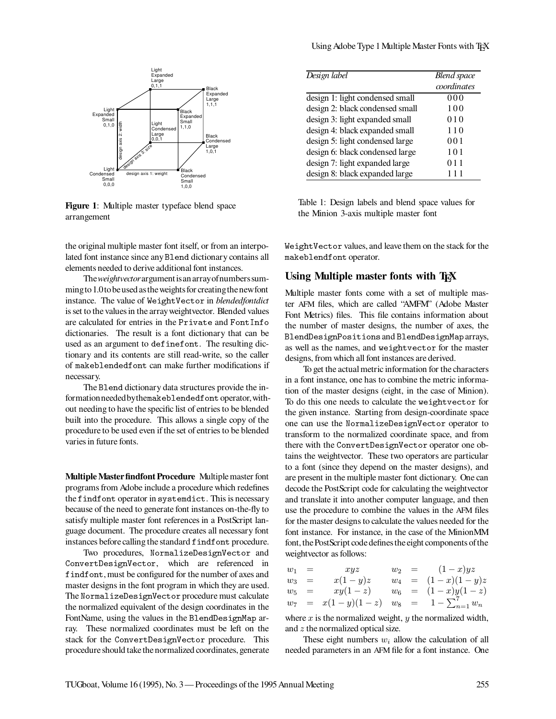



**Figure 1**: Multiple master typeface blend space arrangement

the original multiple master font itself, or from an interpolated font instance since any Blend dictionary contains all elements needed to derive additional font instances.

The*weightvector*argumentisan arrayofnumberssummingto 1.0to beused astheweights for creatingthenewfont instance. The value of WeightVector in *blendedfontdict* is set to the values in the array weightvector. Blended values are calculated for entries in the Private and FontInfo dictionaries. The result is a font dictionary that can be used as an argument to definefont. The resulting dictionary and its contents are still read-write, so the caller of makeblendedfont can make further modifications if necessary.

The Blend dictionary data structures provide the information neededbythemakeblendedfontoperator,without needing to have the specific list of entries to be blended built into the procedure. This allows a single copy of the procedure to be used even if the set of entries to be blended varies in future fonts.

**MultipleMasterfindfont Procedure** Multiplemaster font programs from Adobe include a procedure which redefines the findfont operator in systemdict. This is necessary because of the need to generate font instances on-the-fly to satisfy multiple master font references in a PostScript language document. The procedure creates all necessary font instances before calling the standard findfont procedure.

Two procedures, NormalizeDesignVector and ConvertDesignVector, which are referenced in findfont, must be configured for the number of axes and master designs in the font program in which they are used. The NormalizeDesignVector procedure must calculate the normalized equivalent of the design coordinates in the FontName, using the values in the BlendDesignMap array. These normalized coordinates must be left on the stack for the ConvertDesignVector procedure. This procedure should takethe normalized coordinates, generate

| Design label                    | <b>Blend</b> space |
|---------------------------------|--------------------|
|                                 | coordinates        |
| design 1: light condensed small | 000                |
| design 2: black condensed small | 100                |
| design 3: light expanded small  | 010                |
| design 4: black expanded small  | 110                |
| design 5: light condensed large | 001                |
| design 6: black condensed large | 101                |
| design 7: light expanded large  | 011                |
| design 8: black expanded large  | 111                |

Table 1: Design labels and blend space values for the Minion 3-axis multiple master font

WeightVector values, and leave them on the stack for the makeblendfont operator.

### Using Multiple master fonts with T<sub>EX</sub>

Multiple master fonts come with a set of multiple master AFM files, which are called "AMFM" (Adobe Master Font Metrics) files. This file contains information about the number of master designs, the number of axes, the BlendDesignPositions and BlendDesignMap arrays, as well as the names, and weightvector for the master designs, from which all font instances are derived.

To get the actual metric information for the characters in a font instance, one has to combine the metric information of the master designs (eight, in the case of Minion). To do this one needs to calculate the weightvector for the given instance. Starting from design-coordinate space one can use the NormalizeDesignVector operator to transform to the normalized coordinate space, and from there with the ConvertDesignVector operator one obtains the weightvector. These two operators are particular to a font (since they depend on the master designs), and are present in the multiple master font dictionary. One can decode the PostScript code for calculating the weightvector and translate it into another computer language, and then use the procedure to combine the values in the AFM files for the master designs to calculate the values needed for the font instance. For instance, in the case of the MinionMM font, the PostScript code defines the eight components of the weightvector as follows:

| $w_1 =$ | xyz                                                |  | $w_2 = (1-x)yz$     |
|---------|----------------------------------------------------|--|---------------------|
| $w_3 =$ | $x(1-y)z$                                          |  | $w_4 = (1-x)(1-y)z$ |
| $w_5 =$ | $xy(1-z)$                                          |  | $w_6 = (1-x)y(1-z)$ |
|         | $w_7 = x(1-y)(1-z)$ $w_8 = 1 - \sum_{n=1}^{7} w_n$ |  |                     |

where  $x$  is the normalized weight,  $y$  the normalized width, and z the normalized optical size.

These eight numbers  $w_i$  allow the calculation of all needed parameters in an AFM file for a font instance. One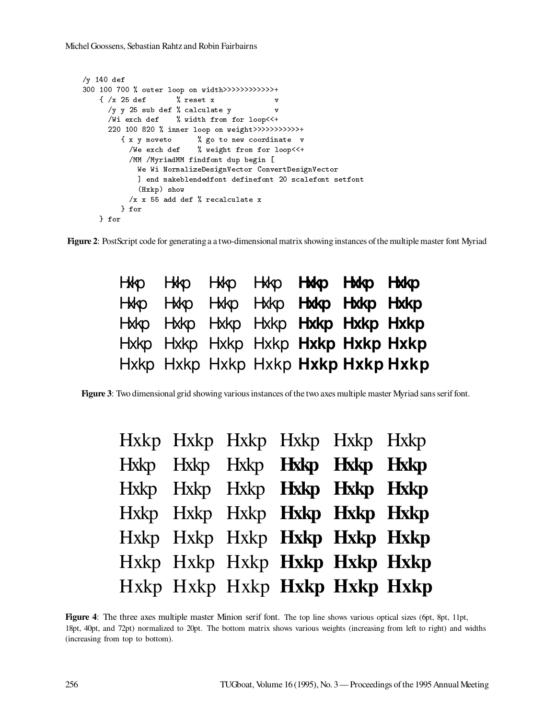} for

```
/y 140 def
300 100 700 % outer loop on width>>>>>>>>>>>>+
     \mathbf{r} , and \mathbf{r} vectors in the set of \mathbf{r}/y y 25 sub def % calculate y v
       /Wi exch def % width from for loop<<+
       220 100 820 % inner loop on weight>>>>>>>>>>>+
           {\bf x} , we converge {\bf y} and {\bf x} are new coordinate values of {\bf y}/We exch def
                                 % weight from for loop<<+
             /MM /MyriadMM findfont dup begin [
                we we wind and all the galaxies of the convert and all the convert of the convert of \mathcal{C}] end makeblendedfont definefont 20 scalefont setfont
                \sim \sim \sim \sim \sim \sim \sim, <u>x</u> x 55 add def ,, recalculate x
           } for
```
**Figure 2**: PostScript code for generating a a two-dimensional matrix showing instances of the multiple master font Myriad

|  | Hxkp Hxkp Hxkp Hxkp <b>Hxkp Hxkp Hxkp</b>        |  |  |
|--|--------------------------------------------------|--|--|
|  | Hother Hother Hother Hother Hother Hother Hother |  |  |
|  | Hxkp Hxkp Hxkp Hxkp <b>Hxkp Hxkp Hxkp</b>        |  |  |
|  | Hxkp Hxkp Hxkp Hxkp <b>Hxkp Hxkp Hxkp</b>        |  |  |
|  | Hxkp Hxkp Hxkp Hxkp Hxkp Hxkp Hxkp               |  |  |

**Figure 3**: Two dimensional grid showing various instances of the two axes multiple master Myriad sans serif font.

|  | Hxkp Hxkp Hxkp Hxkp Hxkp Hxkp |  |  |
|--|-------------------------------|--|--|
|  | Hxkp Hxkp Hxkp Hxkp Hxkp Hxkp |  |  |
|  | Hxkp Hxkp Hxkp Hxkp Hxkp Hxkp |  |  |
|  | Hxkp Hxkp Hxkp Hxkp Hxkp Hxkp |  |  |
|  | Hxkp Hxkp Hxkp Hxkp Hxkp Hxkp |  |  |
|  | Hxkp Hxkp Hxkp Hxkp Hxkp Hxkp |  |  |
|  | Hxkp Hxkp Hxkp Hxkp Hxkp Hxkp |  |  |

**Figure 4**: The three axes multiple master Minion serif font. The top line shows various optical sizes (6pt, 8pt, 11pt, 18pt, 40pt, and 72pt) normalized to 20pt. The bottom matrix shows various weights (increasing from left to right) and widths (increasing from top to bottom).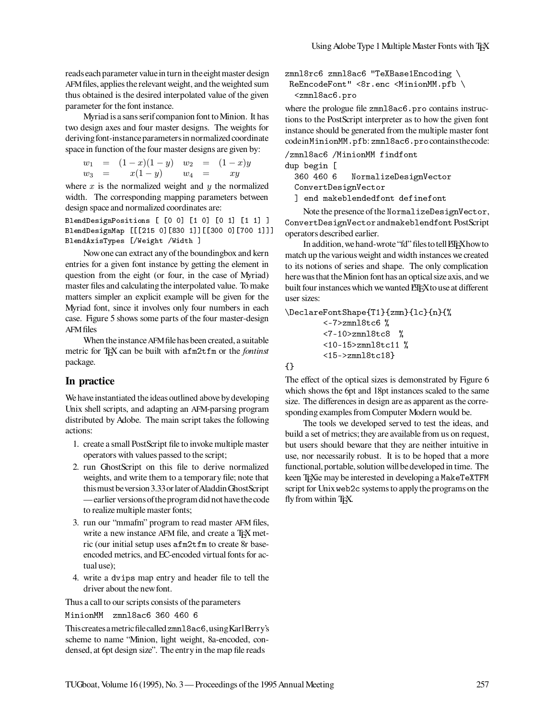reads each parameter value in turn in the eight master design AFMfiles, applies the relevant weight, and the weighted sum thus obtained is the desired interpolated value of the given parameter for the font instance.

Myriad is a sans serif companion font to Minion. It has two design axes and four master designs. The weights for deriving font-instance parameters in normalized coordinate space in function of the four master designs are given by:

$$
\begin{array}{rcl}\nw_1 & = & (1-x)(1-y) & w_2 & = & (1-x)y \\
w_3 & = & x(1-y) & w_4 & = & xy\n\end{array}
$$

where  $x$  is the normalized weight and  $y$  the normalized width. The corresponding mapping parameters between design space and normalized coordinates are:

BlendDesignPositions [ [0 0] [1 0] [0 1] [1 1] ] BlendDesignMap [[[215 0][830 1]][[300 0][700 1]]] BlendAxisTypes [/Weight /Width ]

Now one can extract any of the boundingbox and kern entries for a given font instance by getting the element in question from the eight (or four, in the case of Myriad) master files and calculating the interpolated value. To make matters simpler an explicit example will be given for the Myriad font, since it involves only four numbers in each case. Figure 5 shows some parts of the four master-design AFMfiles

When the instance AFM file has been created, a suitable metric for TEX can be built with afm2tfm or the *fontinst* package.

# **In practice**

We have instantiated the ideas outlined above by developing Unix shell scripts, and adapting an AFM-parsing program distributed by Adobe. The main script takes the following actions:

- 1. create a small PostScript file to invoke multiple master operators with values passed to the script;
- 2. run GhostScript on this file to derive normalized weights, and write them to a temporary file; note that this must be version 3.33 or later of Aladdin GhostScript — earlier versions oftheprogram did not havethecode to realize multiple master fonts;
- 3. run our "mmafm" program to read master AFM files, write a new instance AFM file, and create a TEX metric (our initial setup uses afm2tfm to create 8r baseencoded metrics, and EC-encoded virtual fonts for actual use);
- 4. write a dvips map entry and header file to tell the driver about the new font.

Thus a call to our scripts consists of the parameters

Thiscreatesametricfilecalled zmnl8ac6,usingKarlBerry's scheme to name "Minion, light weight, 8a-encoded, condensed, at 6pt design size". The entry in the map file reads

zmnl8rc6 zmnl8ac6 "TeXBase1Encoding \  $\mathbf{R}$  $z = 0.0000$ 

where the prologue file zmnl8ac6.pro contains instructions to the PostScript interpreter as to how the given font instance should be generated from the multiple master font codein MinionMM.pfb: zmnl8ac6.procontainsthecode:

/zmnl8ac6 /MinionMM findfont

 $\sim$   $\sim$   $\sim$   $\sim$   $\sim$   $\sim$   $\sim$ 

360 460 6 <sup>460</sup> <sup>6</sup> NormalizeDesignVector ConvertDesignVector

] end makeblendedfont definefont

Note the presence of the NormalizeDesignVector, ConvertDesignVector and makeblendfont PostScript operators described earlier.

In addition, we hand-wrote "fd" files to tell ETEXhow to match up the various weight and width instances we created to its notions of series and shape. The only complication here was that the Minion font has an optical size axis, and we built four instances which we wanted ETEXto use at different user sizes:

\DeclareFontShape{T1}{zmn}{lc}{n}{%

```
z = 7<7-10>zmnl8tc8 %
<10-15>zmnl8tc11 %
<15->zmnl8tc18}
```
 $\sim$   $\sim$ 

The effect of the optical sizes is demonstrated by Figure 6 which shows the 6pt and 18pt instances scaled to the same size. The differences in design are as apparent as the corresponding examples from Computer Modern would be.

The tools we developed served to test the ideas, and build a set of metrics; they are available from us on request, but users should beware that they are neither intuitive in use, nor necessarily robust. It is to be hoped that a more functional, portable, solution will be developed in time. The keen TEXie may be interested in developing a MakeTeXTFM script for Unix web2c systems to apply the programs on the fly from within TEX.